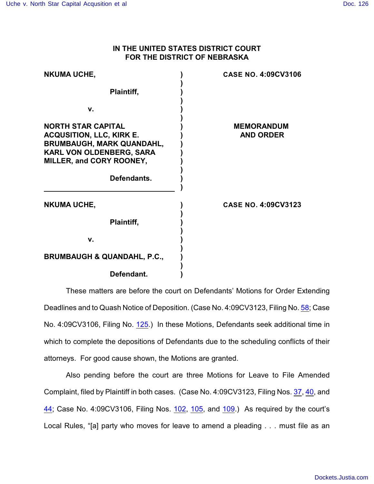## **IN THE UNITED STATES DISTRICT COURT FOR THE DISTRICT OF NEBRASKA**

| <b>NKUMA UCHE,</b>                                                                                                                                                             | <b>CASE NO. 4:09CV3106</b>            |
|--------------------------------------------------------------------------------------------------------------------------------------------------------------------------------|---------------------------------------|
| Plaintiff,                                                                                                                                                                     |                                       |
| V.                                                                                                                                                                             |                                       |
| <b>NORTH STAR CAPITAL</b><br><b>ACQUSITION, LLC, KIRK E.</b><br><b>BRUMBAUGH, MARK QUANDAHL,</b><br>KARL VON OLDENBERG, SARA<br><b>MILLER, and CORY ROONEY,</b><br>Defendants. | <b>MEMORANDUM</b><br><b>AND ORDER</b> |
| <b>NKUMA UCHE,</b>                                                                                                                                                             | <b>CASE NO. 4:09CV3123</b>            |
| Plaintiff,                                                                                                                                                                     |                                       |
| v.                                                                                                                                                                             |                                       |
| <b>BRUMBAUGH &amp; QUANDAHL, P.C.,</b>                                                                                                                                         |                                       |
| Defendant.                                                                                                                                                                     |                                       |

These matters are before the court on Defendants' Motions for Order Extending Deadlines and to Quash Notice of Deposition. (Case No. 4:09CV3123, Filing No. [58](https://ecf.ned.uscourts.gov/doc1/11312008570); Case No. 4:09CV3106, Filing No. [125](https://ecf.ned.uscourts.gov/doc1/11312008564).) In these Motions, Defendants seek additional time in which to complete the depositions of Defendants due to the scheduling conflicts of their attorneys. For good cause shown, the Motions are granted.

Also pending before the court are three Motions for Leave to File Amended Complaint, filed by Plaintiff in both cases. (Case No. 4:09CV3123, Filing Nos. [37](https://ecf.ned.uscourts.gov/doc1/11311988469), [40](https://ecf.ned.uscourts.gov/doc1/11311988556), and [44](https://ecf.ned.uscourts.gov/doc1/11311988727); Case No. 4:09CV3106, Filing Nos. [102](https://ecf.ned.uscourts.gov/doc1/11311988463), [105](https://ecf.ned.uscourts.gov/doc1/11311988553), and [109](https://ecf.ned.uscourts.gov/doc1/11311988721).) As required by the court's Local Rules, "[a] party who moves for leave to amend a pleading . . . must file as an